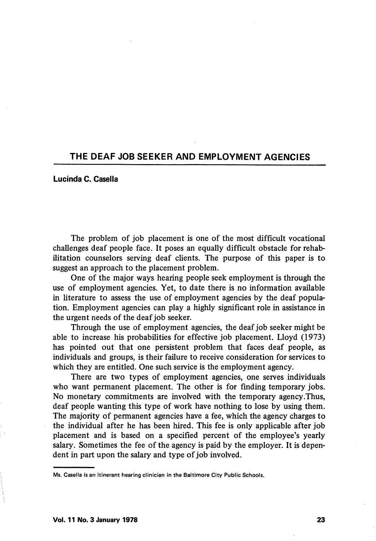# THE DEAF JOB SEEKER AND EMPLOYMENT AGENCIES

## Lucinda C. Casella

The problem of job placement is one of the most difficult vocational challenges deaf people face. It poses an equally difficult obstacle for rehab ilitation counselors serving deaf clients. The purpose of this paper is to suggest an approach to the placement problem.

One of the major ways hearing people seek employment is through the use of employment agencies. Yet, to date there is no information available in literature to assess the use of employment agencies by the deaf popula tion. Employment agencies can play a highly significant role in assistance in the urgent needs of the deaf job seeker.

Through the use of employment agencies, the deaf job seeker might be able to increase his probabilities for effective job placement. Lloyd (1973) has pointed out that one persistent problem that faces deaf people, as individuals and groups, is their failure to receive consideration for services to which they are entitled. One such service is the employment agency.

There are two types of employment agencies, one serves individuals who want permanent placement. The other is for finding temporary jobs. No monetary commitments are involved with the temporary agency .Thus, deaf people wanting this type of work have nothing to lose by using them. The majority of permanent agencies have a fee, which the agency charges to the individual after he has been hired. This fee is only applicable after job placement and is based on a specified percent of the employee's yearly salary. Sometimes the fee of the agency is paid by the employer. It is depen dent in part upon the salary and type of job involved.

Ms. Casella is an itinerant hearing clinician in the Baltimore City Public Schools.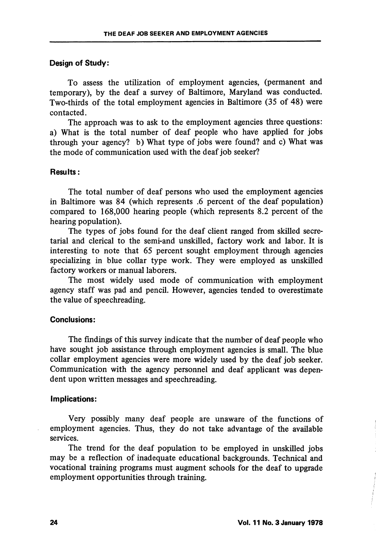### Design of Study:

To assess the utilization of employment agencies, (permanent and temporary), by the deaf a survey of Baltimore, Maryland was conducted. Two-thirds of the total employment agencies in Baltimore (35 of 48) were contacted.

The approach was to ask to the employment agencies three questions: a) What is the total number of deaf people who have applied for jobs through your agency? b) What type of jobs were found? and c) What was the mode of communication used with the deaf job seeker?

## Results:

The total number of deaf persons who used the employment agencies in Baltimore was 84 (which represents .6 percent of the deaf population) compared to 168,000 hearing people (which represents 8.2 percent of the hearing population).

The types of jobs found for the deaf client ranged from skilled secre tarial and clerical to the semi-and unskilled, factory work and labor. It is interesting to note that 65 percent sought employment through agencies specializing in blue collar type work. They were employed as unskilled factory workers or manual laborers.

The most widely used mode of communication with employment agency staff was pad and pencil. However, agencies tended to overestimate the value of speechreading.

## Conclusions:

The findings of this survey indicate that the number of deaf people who have sought job assistance through employment agencies is small. The blue collar employment agencies were more widely used by the deaf job seeker. Communication with the agency personnel and deaf applicant was depen dent upon written messages and speechreading.

### Implications:

Very possibly many deaf people are unaware of the functions of employment agencies. Thus, they do not take advantage of the available services.

The trend for the deaf population to be employed in unskilled jobs may be a reflection of inadequate educational backgrounds. Technical and vocational training programs must augment schools for the deaf to upgrade employment opportunities through training.